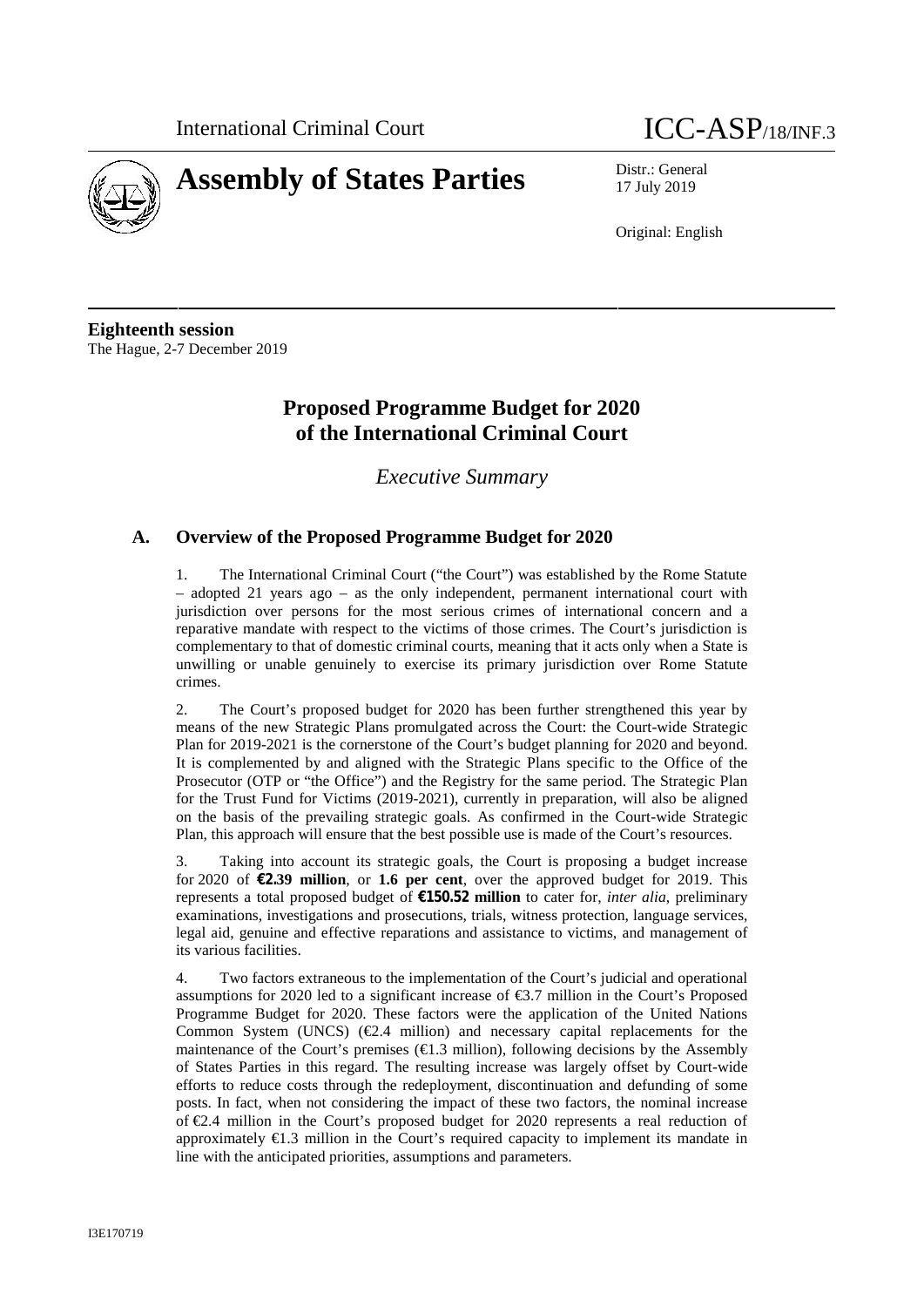

# **Assembly of States Parties** Distr.: General



17 July 2019

Original: English

**Eighteenth session** The Hague, 2-7 December 2019

# **Proposed Programme Budget for 2020 of the International Criminal Court**

*Executive Summary*

# **A. Overview of the Proposed Programme Budget for 2020**

1. The International Criminal Court ("the Court") was established by the Rome Statute – adopted 21 years ago – as the only independent, permanent international court with jurisdiction over persons for the most serious crimes of international concern and a reparative mandate with respect to the victims of those crimes. The Court's jurisdiction is complementary to that of domestic criminal courts, meaning that it acts only when a State is unwilling or unable genuinely to exercise its primary jurisdiction over Rome Statute crimes.

2. The Court's proposed budget for 2020 has been further strengthened this year by means of the new Strategic Plans promulgated across the Court: the Court-wide Strategic Plan for 2019-2021 is the cornerstone of the Court's budget planning for 2020 and beyond. It is complemented by and aligned with the Strategic Plans specific to the Office of the Prosecutor (OTP or "the Office") and the Registry for the same period. The Strategic Plan for the Trust Fund for Victims (2019-2021), currently in preparation, will also be aligned on the basis of the prevailing strategic goals. As confirmed in the Court-wide Strategic Plan, this approach will ensure that the best possible use is made of the Court's resources.

3. Taking into account its strategic goals, the Court is proposing a budget increase for 2020 of **€2.39 million**, or **1.6 per cent**, over the approved budget for 2019. This represents a total proposed budget of **€150.52 million** to cater for, *inter alia*, preliminary examinations, investigations and prosecutions, trials, witness protection, language services, legal aid, genuine and effective reparations and assistance to victims, and management of its various facilities.

4. Two factors extraneous to the implementation of the Court's judicial and operational assumptions for 2020 led to a significant increase of  $\epsilon$ 3.7 million in the Court's Proposed Programme Budget for 2020. These factors were the application of the United Nations Common System (UNCS)  $(\text{\e}2.4 \text{ million})$  and necessary capital replacements for the maintenance of the Court's premises  $(\text{E.3 million})$ , following decisions by the Assembly of States Parties in this regard. The resulting increase was largely offset by Court-wide efforts to reduce costs through the redeployment, discontinuation and defunding of some posts. In fact, when not considering the impact of these two factors, the nominal increase of €2.4 million in the Court's proposed budget for 2020 represents a real reduction of approximately  $\bigoplus$ .3 million in the Court's required capacity to implement its mandate in line with the anticipated priorities, assumptions and parameters.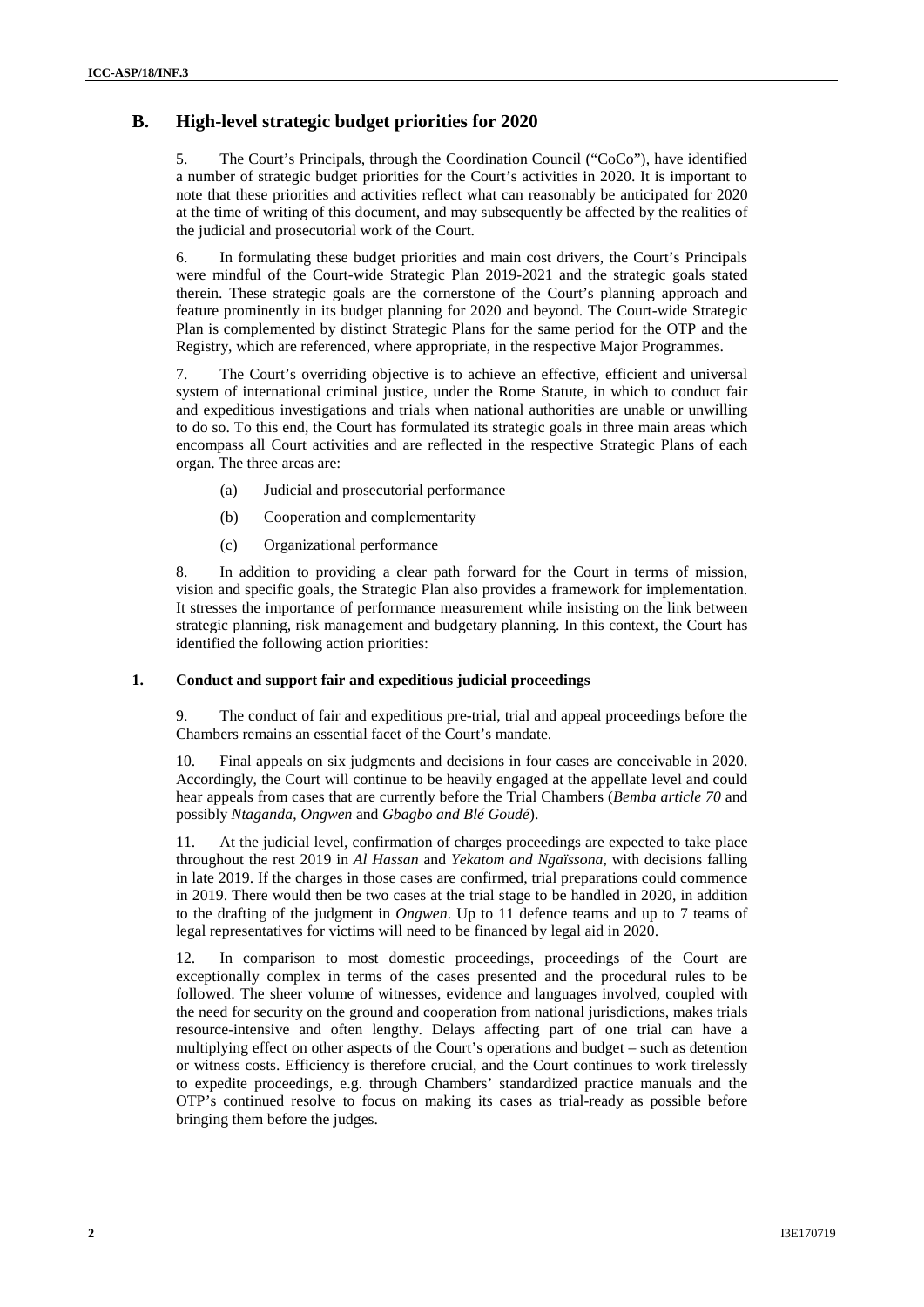## **B. High-level strategic budget priorities for 2020**

5. The Court's Principals, through the Coordination Council ("CoCo"), have identified a number of strategic budget priorities for the Court's activities in 2020. It is important to note that these priorities and activities reflect what can reasonably be anticipated for 2020 at the time of writing of this document, and may subsequently be affected by the realities of the judicial and prosecutorial work of the Court.

6. In formulating these budget priorities and main cost drivers, the Court's Principals were mindful of the Court-wide Strategic Plan 2019-2021 and the strategic goals stated therein. These strategic goals are the cornerstone of the Court's planning approach and feature prominently in its budget planning for 2020 and beyond. The Court-wide Strategic Plan is complemented by distinct Strategic Plans for the same period for the OTP and the Registry, which are referenced, where appropriate, in the respective Major Programmes.

7. The Court's overriding objective is to achieve an effective, efficient and universal system of international criminal justice, under the Rome Statute, in which to conduct fair and expeditious investigations and trials when national authorities are unable or unwilling to do so. To this end, the Court has formulated its strategic goals in three main areas which encompass all Court activities and are reflected in the respective Strategic Plans of each organ. The three areas are:

- (a) Judicial and prosecutorial performance
- (b) Cooperation and complementarity
- (c) Organizational performance

8. In addition to providing a clear path forward for the Court in terms of mission, vision and specific goals, the Strategic Plan also provides a framework for implementation. It stresses the importance of performance measurement while insisting on the link between strategic planning, risk management and budgetary planning. In this context, the Court has identified the following action priorities:

#### **1. Conduct and support fair and expeditious judicial proceedings**

9. The conduct of fair and expeditious pre-trial, trial and appeal proceedings before the Chambers remains an essential facet of the Court's mandate.

10. Final appeals on six judgments and decisions in four cases are conceivable in 2020. Accordingly, the Court will continue to be heavily engaged at the appellate level and could hear appeals from cases that are currently before the Trial Chambers (*Bemba article 70* and possibly *Ntaganda*, *Ongwen* and *Gbagbo and Blé Goudé*).

11. At the judicial level, confirmation of charges proceedings are expected to take place throughout the rest 2019 in *Al Hassan* and *Yekatom and Ngaïssona*, with decisions falling in late 2019. If the charges in those cases are confirmed, trial preparations could commence in 2019. There would then be two cases at the trial stage to be handled in 2020, in addition to the drafting of the judgment in *Ongwen*. Up to 11 defence teams and up to 7 teams of legal representatives for victims will need to be financed by legal aid in 2020.

12. In comparison to most domestic proceedings, proceedings of the Court are exceptionally complex in terms of the cases presented and the procedural rules to be followed. The sheer volume of witnesses, evidence and languages involved, coupled with the need for security on the ground and cooperation from national jurisdictions, makes trials resource-intensive and often lengthy. Delays affecting part of one trial can have a multiplying effect on other aspects of the Court's operations and budget – such as detention or witness costs. Efficiency is therefore crucial, and the Court continues to work tirelessly to expedite proceedings, e.g. through Chambers' standardized practice manuals and the OTP's continued resolve to focus on making its cases as trial-ready as possible before bringing them before the judges.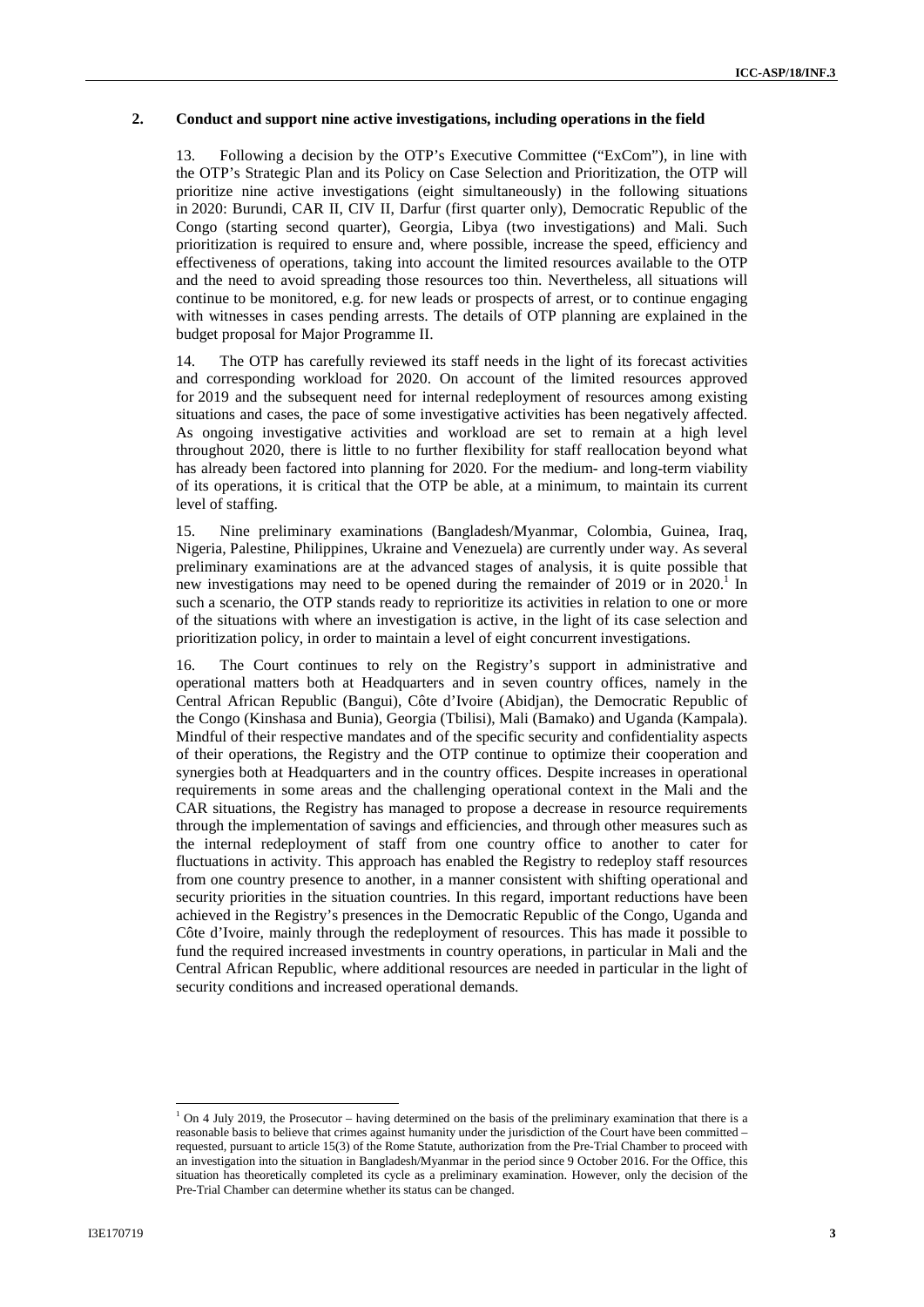#### **2. Conduct and support nine active investigations, including operations in the field**

13. Following a decision by the OTP's Executive Committee ("ExCom"), in line with the OTP's Strategic Plan and its Policy on Case Selection and Prioritization, the OTP will prioritize nine active investigations (eight simultaneously) in the following situations in 2020: Burundi, CAR II, CIV II, Darfur (first quarter only), Democratic Republic of the Congo (starting second quarter), Georgia, Libya (two investigations) and Mali. Such prioritization is required to ensure and, where possible, increase the speed, efficiency and effectiveness of operations, taking into account the limited resources available to the OTP and the need to avoid spreading those resources too thin. Nevertheless, all situations will continue to be monitored, e.g. for new leads or prospects of arrest, or to continue engaging with witnesses in cases pending arrests. The details of OTP planning are explained in the budget proposal for Major Programme II.

14. The OTP has carefully reviewed its staff needs in the light of its forecast activities and corresponding workload for 2020. On account of the limited resources approved for 2019 and the subsequent need for internal redeployment of resources among existing situations and cases, the pace of some investigative activities has been negatively affected. As ongoing investigative activities and workload are set to remain at a high level throughout 2020, there is little to no further flexibility for staff reallocation beyond what has already been factored into planning for 2020. For the medium- and long-term viability of its operations, it is critical that the OTP be able, at a minimum, to maintain its current level of staffing.

15. Nine preliminary examinations (Bangladesh/Myanmar, Colombia, Guinea, Iraq, Nigeria, Palestine, Philippines, Ukraine and Venezuela) are currently under way. As several preliminary examinations are at the advanced stages of analysis, it is quite possible that new investigations may need to be opened during the remainder of 2019 or in  $2020$ .<sup>1</sup> In such a scenario, the OTP stands ready to reprioritize its activities in relation to one or more of the situations with where an investigation is active, in the light of its case selection and prioritization policy, in order to maintain a level of eight concurrent investigations.

16. The Court continues to rely on the Registry's support in administrative and operational matters both at Headquarters and in seven country offices, namely in the Central African Republic (Bangui), Côte d'Ivoire (Abidjan), the Democratic Republic of the Congo (Kinshasa and Bunia), Georgia (Tbilisi), Mali (Bamako) and Uganda (Kampala). Mindful of their respective mandates and of the specific security and confidentiality aspects of their operations, the Registry and the OTP continue to optimize their cooperation and synergies both at Headquarters and in the country offices. Despite increases in operational requirements in some areas and the challenging operational context in the Mali and the CAR situations, the Registry has managed to propose a decrease in resource requirements through the implementation of savings and efficiencies, and through other measures such as the internal redeployment of staff from one country office to another to cater for fluctuations in activity. This approach has enabled the Registry to redeploy staff resources from one country presence to another, in a manner consistent with shifting operational and security priorities in the situation countries. In this regard, important reductions have been achieved in the Registry's presences in the Democratic Republic of the Congo, Uganda and Côte d'Ivoire, mainly through the redeployment of resources. This has made it possible to fund the required increased investments in country operations, in particular in Mali and the Central African Republic, where additional resources are needed in particular in the light of security conditions and increased operational demands.

 $1$  On 4 July 2019, the Prosecutor – having determined on the basis of the preliminary examination that there is a reasonable basis to believe that crimes against humanity under the jurisdiction of the Court have been committed – requested, pursuant to article 15(3) of the Rome Statute, authorization from the Pre-Trial Chamber to proceed with an investigation into the situation in Bangladesh/Myanmar in the period since 9 October 2016. For the Office, this situation has theoretically completed its cycle as a preliminary examination. However, only the decision of the Pre-Trial Chamber can determine whether its status can be changed.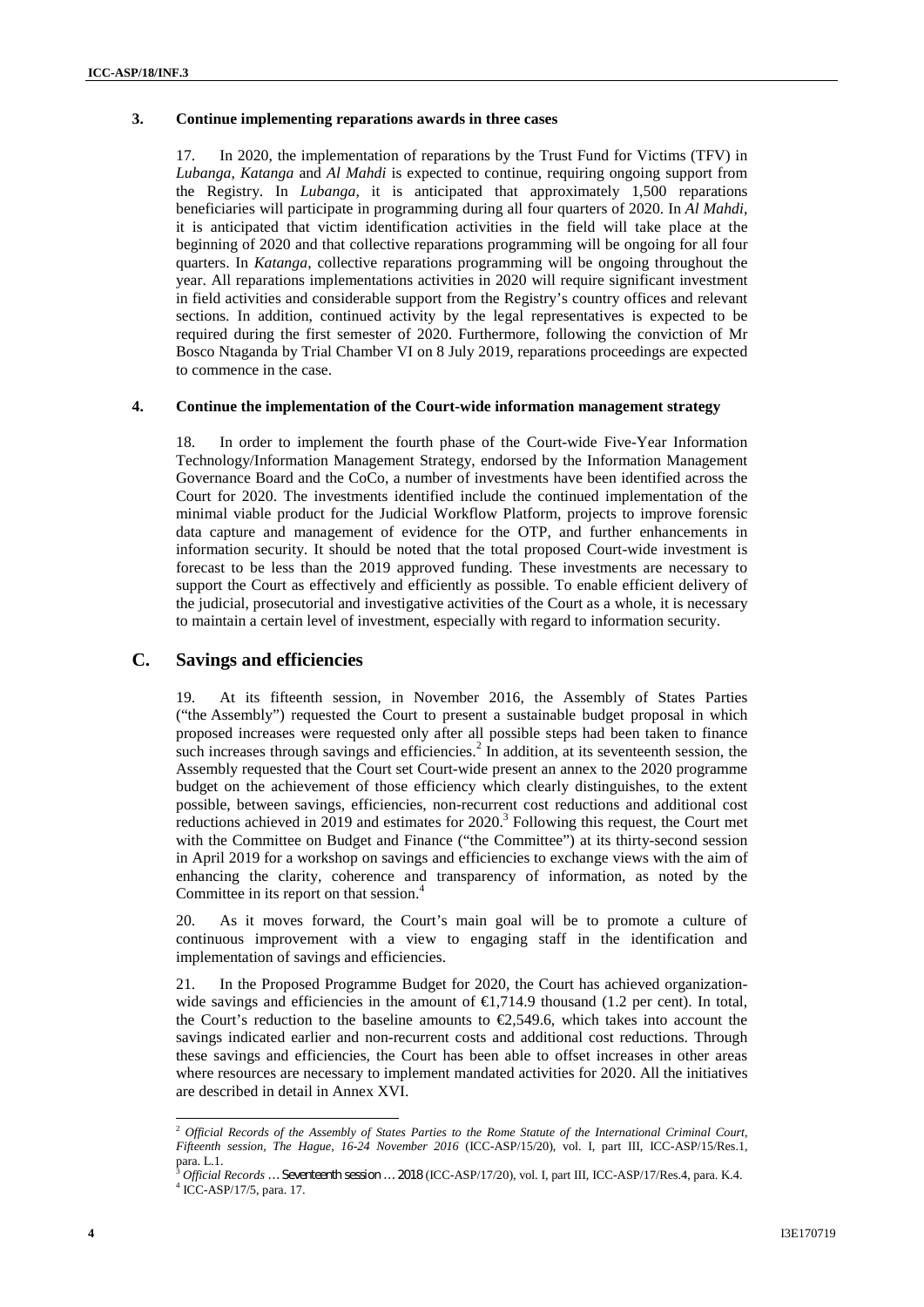#### **3. Continue implementing reparations awards in three cases**

17. In 2020, the implementation of reparations by the Trust Fund for Victims (TFV) in *Lubanga*, *Katanga* and *Al Mahdi* is expected to continue, requiring ongoing support from the Registry. In *Lubanga*, it is anticipated that approximately 1,500 reparations beneficiaries will participate in programming during all four quarters of 2020. In *Al Mahdi*, it is anticipated that victim identification activities in the field will take place at the beginning of 2020 and that collective reparations programming will be ongoing for all four quarters. In *Katanga*, collective reparations programming will be ongoing throughout the year. All reparations implementations activities in 2020 will require significant investment in field activities and considerable support from the Registry's country offices and relevant sections. In addition, continued activity by the legal representatives is expected to be required during the first semester of 2020. Furthermore, following the conviction of Mr Bosco Ntaganda by Trial Chamber VI on 8 July 2019, reparations proceedings are expected to commence in the case.

#### **4. Continue the implementation of the Court-wide information management strategy**

18. In order to implement the fourth phase of the Court-wide Five-Year Information Technology/Information Management Strategy, endorsed by the Information Management Governance Board and the CoCo, a number of investments have been identified across the Court for 2020. The investments identified include the continued implementation of the minimal viable product for the Judicial Workflow Platform, projects to improve forensic data capture and management of evidence for the OTP, and further enhancements in information security. It should be noted that the total proposed Court-wide investment is forecast to be less than the 2019 approved funding. These investments are necessary to support the Court as effectively and efficiently as possible. To enable efficient delivery of the judicial, prosecutorial and investigative activities of the Court as a whole, it is necessary to maintain a certain level of investment, especially with regard to information security.

#### **C. Savings and efficiencies**

19. At its fifteenth session, in November 2016, the Assembly of States Parties ("the Assembly") requested the Court to present a sustainable budget proposal in which proposed increases were requested only after all possible steps had been taken to finance such increases through savings and efficiencies.<sup>2</sup> In addition, at its seventeenth session, the Assembly requested that the Court set Court-wide present an annex to the 2020 programme budget on the achievement of those efficiency which clearly distinguishes, to the extent possible, between savings, efficiencies, non-recurrent cost reductions and additional cost reductions achieved in 2019 and estimates for 2020.<sup>3</sup> Following this request, the Court met with the Committee on Budget and Finance ("the Committee") at its thirty-second session in April 2019 for a workshop on savings and efficiencies to exchange views with the aim of enhancing the clarity, coherence and transparency of information, as noted by the Committee in its report on that session.<sup>4</sup>

20. As it moves forward, the Court's main goal will be to promote a culture of continuous improvement with a view to engaging staff in the identification and implementation of savings and efficiencies.

21. In the Proposed Programme Budget for 2020, the Court has achieved organization wide savings and efficiencies in the amount of  $\in$ 1,714.9 thousand (1.2 per cent). In total, the Court's reduction to the baseline amounts to  $\epsilon$ , 549.6, which takes into account the savings indicated earlier and non-recurrent costs and additional cost reductions. Through these savings and efficiencies, the Court has been able to offset increases in other areas where resources are necessary to implement mandated activities for 2020. All the initiatives are described in detail in Annex XVI.

<sup>2</sup> *Official Records of the Assembly of States Parties to the Rome Statute of the International Criminal Court, Fifteenth session, The Hague, 16-24 November 2016* (ICC-ASP/15/20), vol. I, part III, ICC-ASP/15/Res.1, para. L.1.

<sup>&</sup>lt;sup>3</sup> Official Records ... Seventeenth session ... 2018 (ICC-ASP/17/20), vol. I, part III, ICC-ASP/17/Res.4, para. K.4. <sup>4</sup> ICC-ASP/17/5, para. 17.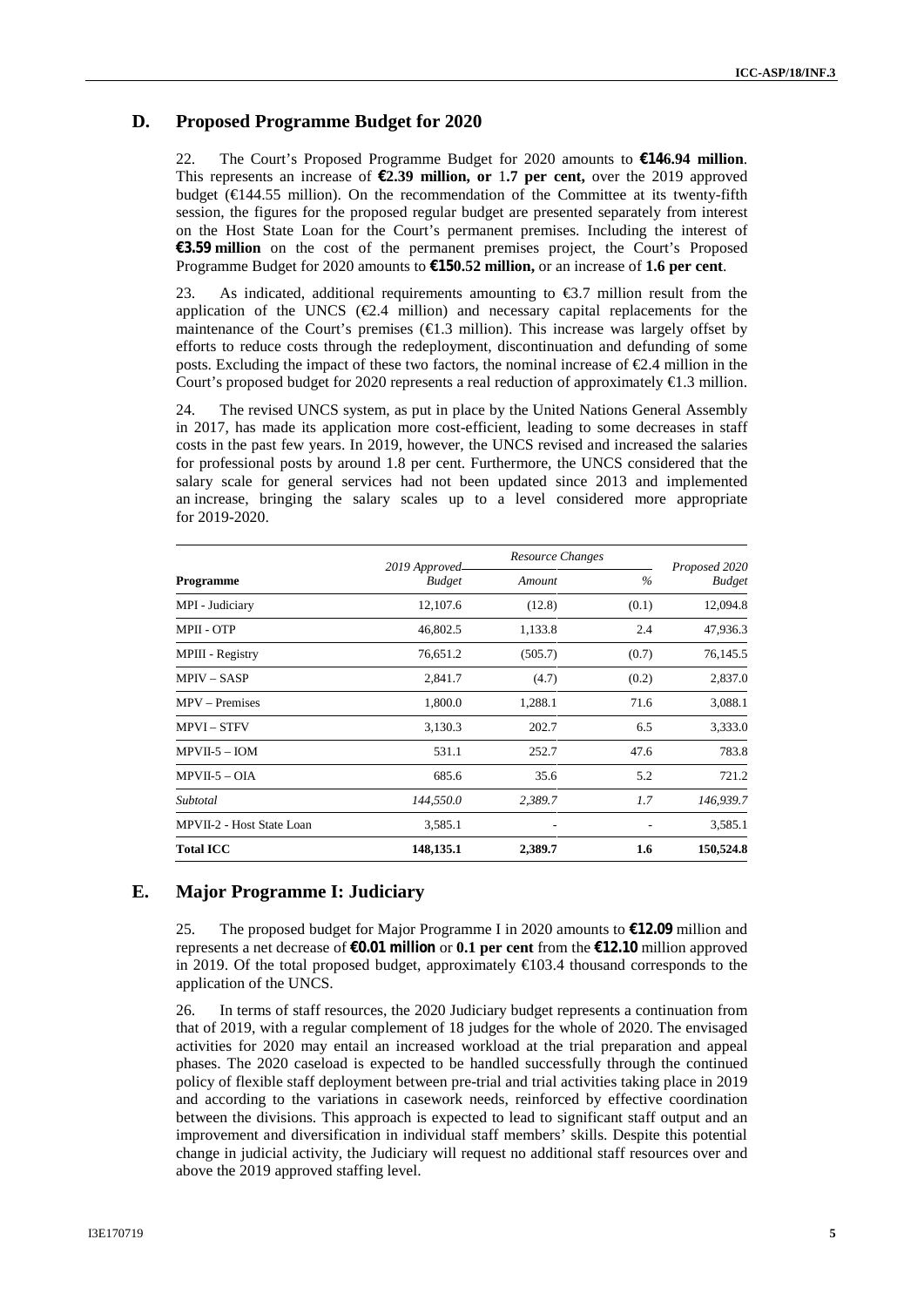#### **D. Proposed Programme Budget for 2020**

22. The Court's Proposed Programme Budget for 2020 amounts to **€146.94 million**. This represents an increase of **€2.39 million, or** 1**.7 per cent,** over the 2019 approved budget (€144.55 million). On the recommendation of the Committee at its twenty-fifth session, the figures for the proposed regular budget are presented separately from interest on the Host State Loan for the Court's permanent premises. Including the interest of **€3.59 million** on the cost of the permanent premises project, the Court's Proposed Programme Budget for 2020 amounts to **€150.52 million,** or an increase of **1.6 per cent**.

23. As indicated, additional requirements amounting to  $\epsilon$ 3.7 million result from the application of the UNCS ( $E.4$  million) and necessary capital replacements for the maintenance of the Court's premises  $(\text{ } \infty, 1)$  million). This increase was largely offset by efforts to reduce costs through the redeployment, discontinuation and defunding of some posts. Excluding the impact of these two factors, the nominal increase of €2.4 million in the Court's proposed budget for 2020 represents a real reduction of approximately  $\epsilon$ 1.3 million.

24. The revised UNCS system, as put in place by the United Nations General Assembly in 2017, has made its application more cost-efficient, leading to some decreases in staff costs in the past few years. In 2019, however, the UNCS revised and increased the salaries for professional posts by around 1.8 per cent. Furthermore, the UNCS considered that the salary scale for general services had not been updated since 2013 and implemented an increase, bringing the salary scales up to a level considered more appropriate for 2019-2020.

|                           | 2019 Approved- | Resource Changes |       | Proposed 2020<br><b>Budget</b> |
|---------------------------|----------------|------------------|-------|--------------------------------|
| Programme                 | <b>Budget</b>  | Amount           |       |                                |
| MPI - Judiciary           | 12,107.6       | (12.8)           | (0.1) | 12,094.8                       |
| MPII - OTP                | 46,802.5       | 1,133.8          | 2.4   | 47,936.3                       |
| MPIII - Registry          | 76,651.2       | (505.7)          | (0.7) | 76,145.5                       |
| $MPIV - SASP$             | 2,841.7        | (4.7)            | (0.2) | 2,837.0                        |
| MPV – Premises            | 1,800.0        | 1,288.1          | 71.6  | 3,088.1                        |
| <b>MPVI-STFV</b>          | 3,130.3        | 202.7            | 6.5   | 3,333.0                        |
| $MPVII-5 - IOM$           | 531.1          | 252.7            | 47.6  | 783.8                          |
| $MPVII-5-OIA$             | 685.6          | 35.6             | 5.2   | 721.2                          |
| Subtotal                  | 144,550.0      | 2,389.7          | 1.7   | 146,939.7                      |
| MPVII-2 - Host State Loan | 3,585.1        |                  |       | 3,585.1                        |
| <b>Total ICC</b>          | 148,135.1      | 2,389.7          | 1.6   | 150,524.8                      |

#### **E. Major Programme I: Judiciary**

25. The proposed budget for Major Programme I in 2020 amounts to **€12.09** million and represents a net decrease of **€0.01 million** or **0.1 per cent** from the **€12.10** million approved in 2019. Of the total proposed budget, approximately €103.4 thousand corresponds to the application of the UNCS.

26. In terms of staff resources, the 2020 Judiciary budget represents a continuation from that of 2019, with a regular complement of 18 judges for the whole of 2020. The envisaged activities for 2020 may entail an increased workload at the trial preparation and appeal phases. The 2020 caseload is expected to be handled successfully through the continued policy of flexible staff deployment between pre-trial and trial activities taking place in 2019 and according to the variations in casework needs, reinforced by effective coordination between the divisions. This approach is expected to lead to significant staff output and an improvement and diversification in individual staff members' skills. Despite this potential change in judicial activity, the Judiciary will request no additional staff resources over and above the 2019 approved staffing level.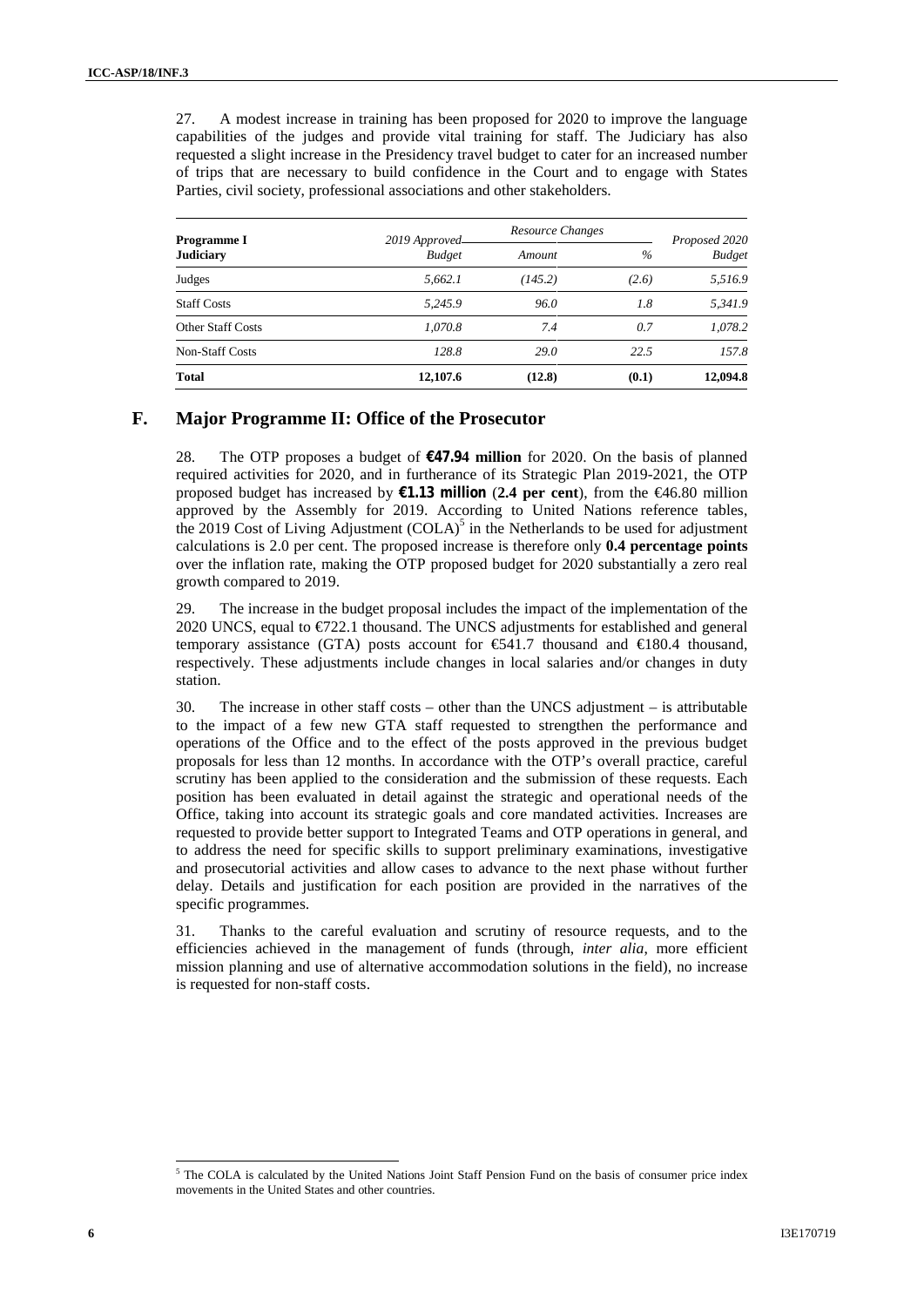27. A modest increase in training has been proposed for 2020 to improve the language capabilities of the judges and provide vital training for staff. The Judiciary has also requested a slight increase in the Presidency travel budget to cater for an increased number of trips that are necessary to build confidence in the Court and to engage with States Parties, civil society, professional associations and other stakeholders.

| Programme I<br><b>Judiciary</b> | 2019 Approved | Resource Changes |       | Proposed 2020 |
|---------------------------------|---------------|------------------|-------|---------------|
|                                 | <b>Budget</b> | Amount           | $\%$  | <b>Budget</b> |
| Judges                          | 5.662.1       | (145.2)          | (2.6) | 5,516.9       |
| <b>Staff Costs</b>              | 5.245.9       | 96.0             | 1.8   | 5.341.9       |
| <b>Other Staff Costs</b>        | 1.070.8       | 7.4              | 0.7   | 1,078.2       |
| <b>Non-Staff Costs</b>          | 128.8         | 29.0             | 22.5  | 157.8         |
| <b>Total</b>                    | 12,107.6      | (12.8)           | (0.1) | 12,094.8      |

#### **F. Major Programme II: Office of the Prosecutor**

28. The OTP proposes a budget of **€47.94 million** for 2020. On the basis of planned required activities for 2020, and in furtherance of its Strategic Plan 2019-2021, the OTP proposed budget has increased by **€1.13 million** (**2.4 per cent**), from the €46.80 million approved by the Assembly for 2019. According to United Nations reference tables, the 2019 Cost of Living Adjustment  $(COLA)^5$  in the Netherlands to be used for adjustment calculations is 2.0 per cent. The proposed increase is therefore only **0.4 percentage points** over the inflation rate, making the OTP proposed budget for 2020 substantially a zero real growth compared to 2019.

29. The increase in the budget proposal includes the impact of the implementation of the 2020 UNCS, equal to  $\epsilon$ 722.1 thousand. The UNCS adjustments for established and general temporary assistance (GTA) posts account for  $\epsilon$ 41.7 thousand and  $\epsilon$ 180.4 thousand, respectively. These adjustments include changes in local salaries and/or changes in duty station.

30. The increase in other staff costs – other than the UNCS adjustment – is attributable to the impact of a few new GTA staff requested to strengthen the performance and operations of the Office and to the effect of the posts approved in the previous budget proposals for less than 12 months. In accordance with the OTP's overall practice, careful scrutiny has been applied to the consideration and the submission of these requests. Each position has been evaluated in detail against the strategic and operational needs of the Office, taking into account its strategic goals and core mandated activities. Increases are requested to provide better support to Integrated Teams and OTP operations in general, and to address the need for specific skills to support preliminary examinations, investigative and prosecutorial activities and allow cases to advance to the next phase without further delay. Details and justification for each position are provided in the narratives of the specific programmes.

31. Thanks to the careful evaluation and scrutiny of resource requests, and to the efficiencies achieved in the management of funds (through, *inter alia*, more efficient mission planning and use of alternative accommodation solutions in the field), no increase is requested for non-staff costs.

<sup>&</sup>lt;sup>5</sup> The COLA is calculated by the United Nations Joint Staff Pension Fund on the basis of consumer price index movements in the United States and other countries.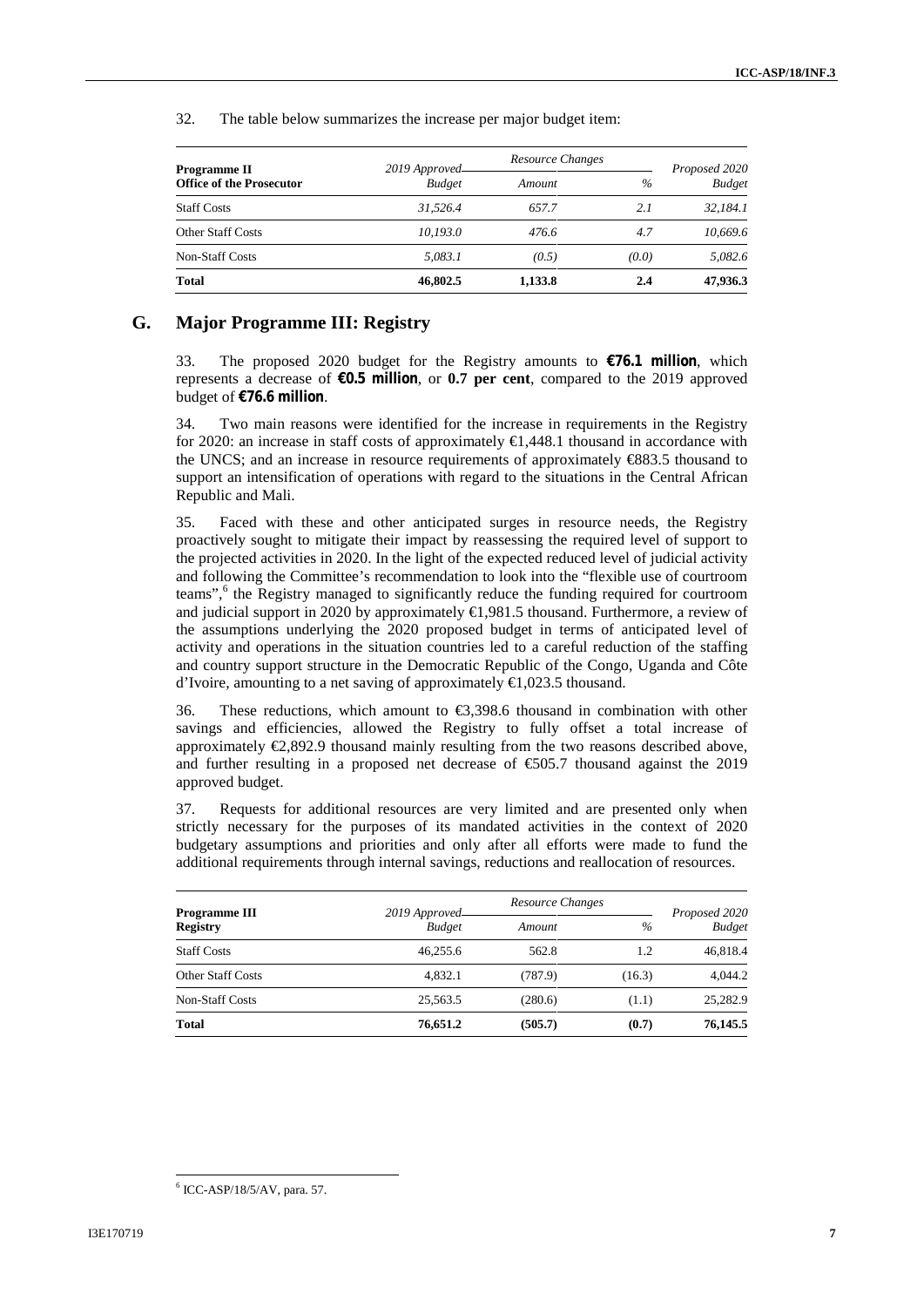32. The table below summarizes the increase per major budget item:

| Programme II<br><b>Office of the Prosecutor</b> | 2019 Approved | Resource Changes |       | Proposed 2020 |
|-------------------------------------------------|---------------|------------------|-------|---------------|
|                                                 | <b>Budget</b> | Amount           | $\%$  | <b>Budget</b> |
| <b>Staff Costs</b>                              | 31.526.4      | 657.7            | 2.1   | 32.184.1      |
| <b>Other Staff Costs</b>                        | 10,193.0      | 476.6            | 4.7   | 10.669.6      |
| <b>Non-Staff Costs</b>                          | 5.083.1       | (0.5)            | (0.0) | 5.082.6       |
| <b>Total</b>                                    | 46,802.5      | 1,133.8          | 2.4   | 47,936.3      |

#### **G. Major Programme III: Registry**

33. The proposed 2020 budget for the Registry amounts to **€76.1 million**, which represents a decrease of **€0.5 million**, or **0.7 per cent**, compared to the 2019 approved budget of **€76.6 million**.

34. Two main reasons were identified for the increase in requirements in the Registry for 2020: an increase in staff costs of approximately  $\bigoplus$ , 448.1 thousand in accordance with the UNCS; and an increase in resource requirements of approximately €883.5 thousand to support an intensification of operations with regard to the situations in the Central African Republic and Mali.

35. Faced with these and other anticipated surges in resource needs, the Registry proactively sought to mitigate their impact by reassessing the required level of support to the projected activities in 2020. In the light of the expected reduced level of judicial activity and following the Committee's recommendation to look into the "flexible use of courtroom teams",<sup>6</sup> the Registry managed to significantly reduce the funding required for courtroom and judicial support in 2020 by approximately €1,981.5 thousand. Furthermore, a review of the assumptions underlying the 2020 proposed budget in terms of anticipated level of activity and operations in the situation countries led to a careful reduction of the staffing and country support structure in the Democratic Republic of the Congo, Uganda and Côte d'Ivoire, amounting to a net saving of approximately €1,023.5 thousand.

36. These reductions, which amount to  $\epsilon$ 3,398.6 thousand in combination with other savings and efficiencies, allowed the Registry to fully offset a total increase of approximately  $\epsilon$ 2,892.9 thousand mainly resulting from the two reasons described above, and further resulting in a proposed net decrease of  $\epsilon$ 505.7 thousand against the 2019 approved budget.

37. Requests for additional resources are very limited and are presented only when strictly necessary for the purposes of its mandated activities in the context of 2020 budgetary assumptions and priorities and only after all efforts were made to fund the additional requirements through internal savings, reductions and reallocation of resources.

| <b>Programme III</b><br><b>Registry</b> | 2019 Approved-<br><b>Budget</b> | Resource Changes |        | Proposed 2020 |
|-----------------------------------------|---------------------------------|------------------|--------|---------------|
|                                         |                                 | Amount           | $\%$   | <b>Budget</b> |
| <b>Staff Costs</b>                      | 46.255.6                        | 562.8            | 1.2    | 46.818.4      |
| Other Staff Costs                       | 4.832.1                         | (787.9)          | (16.3) | 4.044.2       |
| <b>Non-Staff Costs</b>                  | 25,563.5                        | (280.6)          | (1.1)  | 25,282.9      |
| <b>Total</b>                            | 76,651.2                        | (505.7)          | (0.7)  | 76,145.5      |

<sup>6</sup> ICC-ASP/18/5/AV, para. 57.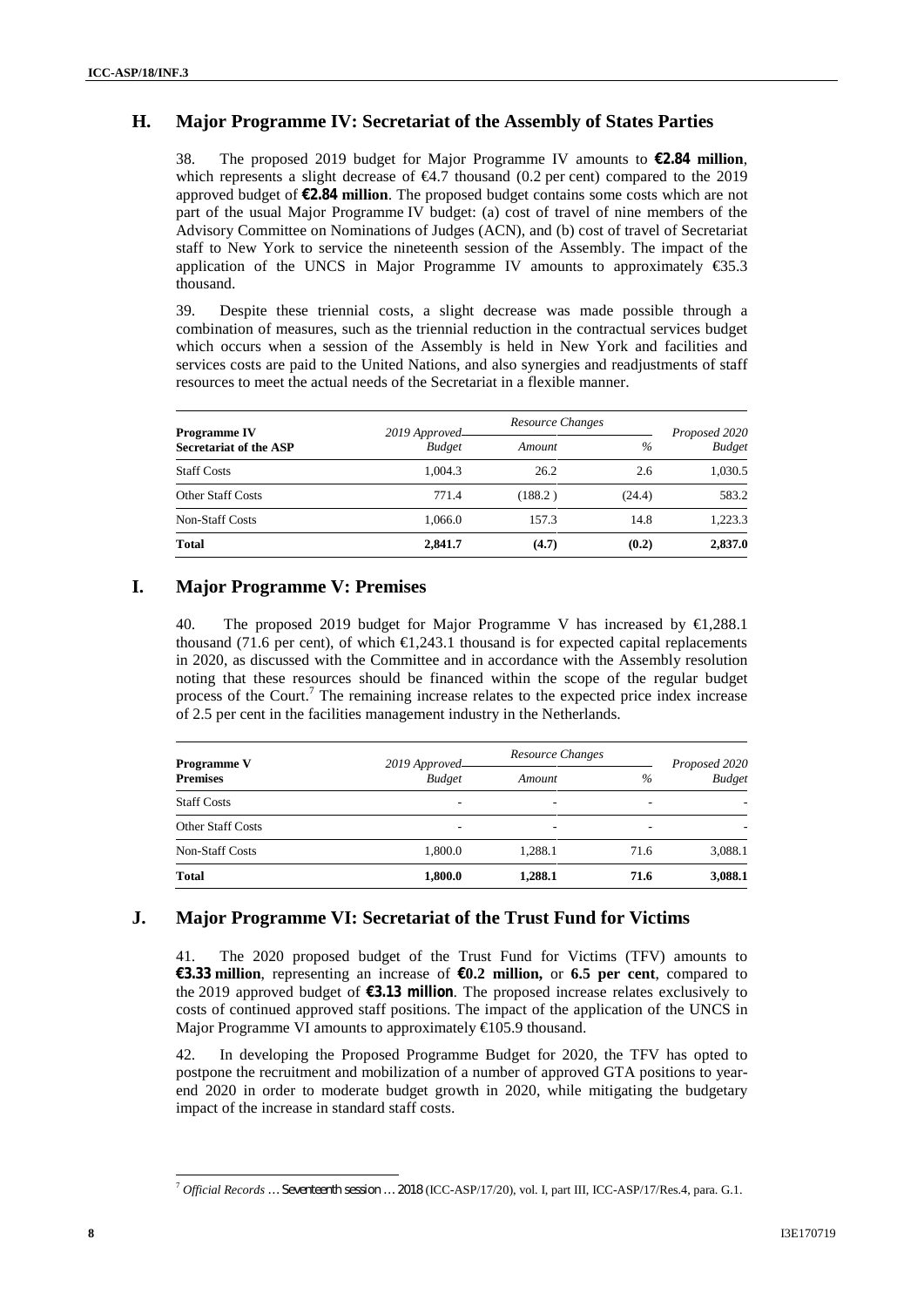# **H. Major Programme IV: Secretariat of the Assembly of States Parties**

38. The proposed 2019 budget for Major Programme IV amounts to **€2.84 million**, which represents a slight decrease of  $\epsilon 4.7$  thousand (0.2 per cent) compared to the 2019 approved budget of **€2.84 million**. The proposed budget contains some costs which are not part of the usual Major Programme IV budget: (a) cost of travel of nine members of the Advisory Committee on Nominations of Judges (ACN), and (b) cost of travel of Secretariat staff to New York to service the nineteenth session of the Assembly. The impact of the application of the UNCS in Major Programme IV amounts to approximately  $\epsilon$ \$5.3 thousand.

39. Despite these triennial costs, a slight decrease was made possible through a combination of measures, such as the triennial reduction in the contractual services budget which occurs when a session of the Assembly is held in New York and facilities and services costs are paid to the United Nations, and also synergies and readjustments of staff resources to meet the actual needs of the Secretariat in a flexible manner.

| <b>Programme IV</b><br><b>Secretariat of the ASP</b> | 2019 Approved-<br><b>Budget</b> | Resource Changes | Proposed 2020 |               |
|------------------------------------------------------|---------------------------------|------------------|---------------|---------------|
|                                                      |                                 | Amount           | $\%$          | <b>Budget</b> |
| <b>Staff Costs</b>                                   | 1.004.3                         | 26.2             | 2.6           | 1,030.5       |
| Other Staff Costs                                    | 771.4                           | (188.2)          | (24.4)        | 583.2         |
| <b>Non-Staff Costs</b>                               | 1.066.0                         | 157.3            | 14.8          | 1.223.3       |
| <b>Total</b>                                         | 2,841.7                         | (4.7)            | (0.2)         | 2,837.0       |

#### **I. Major Programme V: Premises**

40. The proposed 2019 budget for Major Programme V has increased by €1,288.1 thousand (71.6 per cent), of which  $\in$  (1,243.1 thousand is for expected capital replacements in 2020, as discussed with the Committee and in accordance with the Assembly resolution noting that these resources should be financed within the scope of the regular budget process of the Court.<sup>7</sup> The remaining increase relates to the expected price index increase of 2.5 per cent in the facilities management industry in the Netherlands.

| <b>Programme V</b><br><b>Premises</b> | 2019 Approved-<br><b>Budget</b> | Resource Changes |      | Proposed 2020 |
|---------------------------------------|---------------------------------|------------------|------|---------------|
|                                       |                                 | Amount           | $\%$ | <b>Budget</b> |
| <b>Staff Costs</b>                    |                                 | ۰                |      |               |
| <b>Other Staff Costs</b>              | ۰                               | ۰                |      | -             |
| Non-Staff Costs                       | 1.800.0                         | 1.288.1          | 71.6 | 3,088.1       |
| <b>Total</b>                          | 1,800.0                         | 1,288.1          | 71.6 | 3,088.1       |

## **J. Major Programme VI: Secretariat of the Trust Fund for Victims**

41. The 2020 proposed budget of the Trust Fund for Victims (TFV) amounts to **€3.33 million**, representing an increase of **€0.2 million,** or **6.5 per cent**, compared to the 2019 approved budget of **€3.13 million**. The proposed increase relates exclusively to costs of continued approved staff positions. The impact of the application of the UNCS in Major Programme VI amounts to approximately  $\in$  05.9 thousand.

42. In developing the Proposed Programme Budget for 2020, the TFV has opted to postpone the recruitment and mobilization of a number of approved GTA positions to year end 2020 in order to moderate budget growth in 2020, while mitigating the budgetary impact of the increase in standard staff costs.

<sup>7</sup> *Official Records … Seventeenth session … 2018* (ICC-ASP/17/20), vol. I, part III, ICC-ASP/17/Res.4, para. G.1.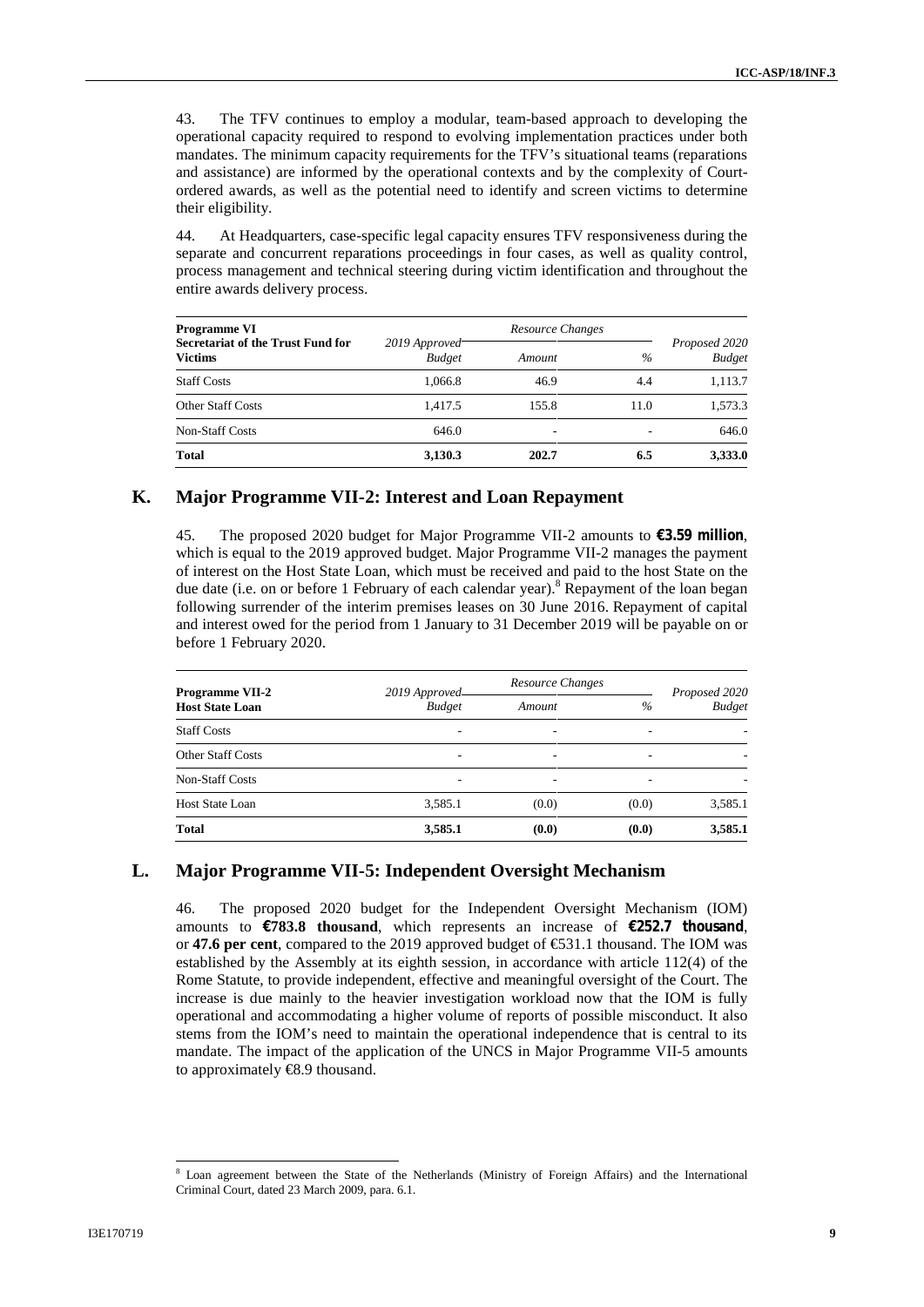43. The TFV continues to employ a modular, team-based approach to developing the operational capacity required to respond to evolving implementation practices under both mandates. The minimum capacity requirements for the TFV's situational teams (reparations and assistance) are informed by the operational contexts and by the complexity of Court ordered awards, as well as the potential need to identify and screen victims to determine their eligibility.

44. At Headquarters, case-specific legal capacity ensures TFV responsiveness during the separate and concurrent reparations proceedings in four cases, as well as quality control, process management and technical steering during victim identification and throughout the entire awards delivery process.

| <b>Programme VI</b>                                 | Resource Changes               |        |      |                                |
|-----------------------------------------------------|--------------------------------|--------|------|--------------------------------|
| Secretariat of the Trust Fund for<br><b>Victims</b> | 2019 Approved<br><b>Budget</b> | Amount | $\%$ | Proposed 2020<br><b>Budget</b> |
| <b>Staff Costs</b>                                  | 1.066.8                        | 46.9   | 4.4  | 1,113.7                        |
| <b>Other Staff Costs</b>                            | 1.417.5                        | 155.8  | 11.0 | 1.573.3                        |
| <b>Non-Staff Costs</b>                              | 646.0                          | -      | ۰    | 646.0                          |
| <b>Total</b>                                        | 3,130.3                        | 202.7  | 6.5  | 3,333.0                        |

#### **K. Major Programme VII-2: Interest and Loan Repayment**

45. The proposed 2020 budget for Major Programme VII-2 amounts to **€3.59 million**, which is equal to the 2019 approved budget. Major Programme VII-2 manages the payment of interest on the Host State Loan, which must be received and paid to the host State on the due date (i.e. on or before 1 February of each calendar year).<sup>8</sup> Repayment of the loan began following surrender of the interim premises leases on 30 June 2016. Repayment of capital and interest owed for the period from 1 January to 31 December 2019 will be payable on or before 1 February 2020.

| <b>Programme VII-2</b><br><b>Host State Loan</b> | 2019 Approved            | Resource Changes |                          | Proposed 2020 |  |
|--------------------------------------------------|--------------------------|------------------|--------------------------|---------------|--|
|                                                  | <b>Budget</b>            | Amount           | $\%$                     | <b>Budget</b> |  |
| <b>Staff Costs</b>                               | ٠                        | ۰                | $\overline{\phantom{a}}$ | ۰             |  |
| <b>Other Staff Costs</b>                         | ۰                        | ۰                |                          | ۰             |  |
| Non-Staff Costs                                  | $\overline{\phantom{a}}$ | ٠                |                          | ۰             |  |
| <b>Host State Loan</b>                           | 3,585.1                  | (0.0)            | (0.0)                    | 3,585.1       |  |
| <b>Total</b>                                     | 3,585.1                  | (0.0)            | (0.0)                    | 3,585.1       |  |

#### **L. Major Programme VII-5: Independent Oversight Mechanism**

46. The proposed 2020 budget for the Independent Oversight Mechanism (IOM) amounts to  $\epsilon$ **783.8 thousand**, which represents an increase of  $\epsilon$ 252.7 thousand, or **47.6 per cent**, compared to the 2019 approved budget of €531.1 thousand. The IOM was established by the Assembly at its eighth session, in accordance with article 112(4) of the Rome Statute, to provide independent, effective and meaningful oversight of the Court. The increase is due mainly to the heavier investigation workload now that the IOM is fully operational and accommodating a higher volume of reports of possible misconduct. It also stems from the IOM's need to maintain the operational independence that is central to its mandate. The impact of the application of the UNCS in Major Programme VII-5 amounts to approximately €8.9 thousand.

Loan agreement between the State of the Netherlands (Ministry of Foreign Affairs) and the International Criminal Court, dated 23 March 2009, para. 6.1.